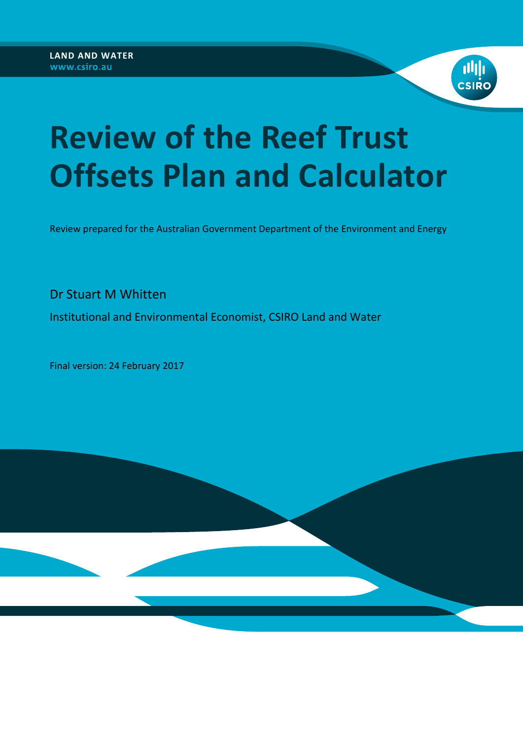

# **Review of the Reef Trust Offsets Plan and Calculator**

Review prepared for the Australian Government Department of the Environment and Energy

Dr Stuart M Whitten

Institutional and Environmental Economist, CSIRO Land and Water

Final version: 24 February 2017

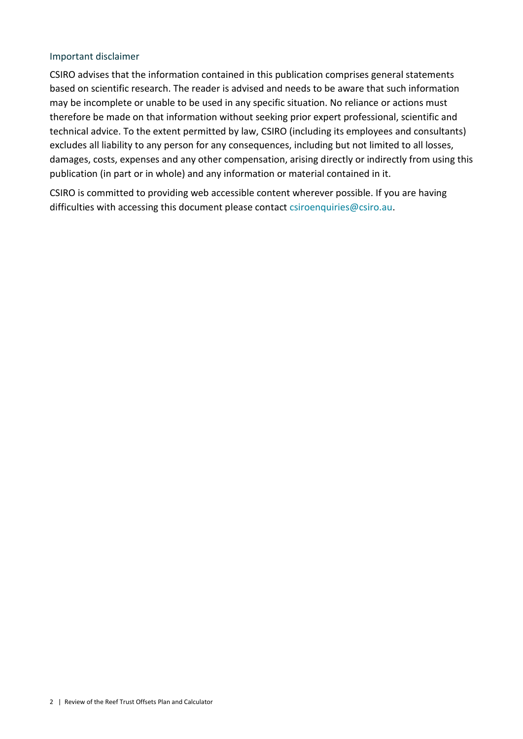#### Important disclaimer

CSIRO advises that the information contained in this publication comprises general statements based on scientific research. The reader is advised and needs to be aware that such information may be incomplete or unable to be used in any specific situation. No reliance or actions must therefore be made on that information without seeking prior expert professional, scientific and technical advice. To the extent permitted by law, CSIRO (including its employees and consultants) excludes all liability to any person for any consequences, including but not limited to all losses, damages, costs, expenses and any other compensation, arising directly or indirectly from using this publication (in part or in whole) and any information or material contained in it.

CSIRO is committed to providing web accessible content wherever possible. If you are having difficulties with accessing this document please contact [csiroenquiries@csiro.au.](mailto:csiroenquiries@csiro.au)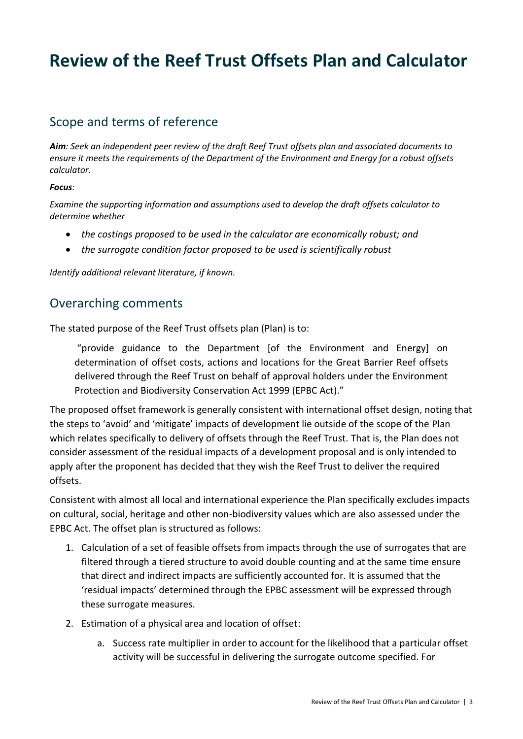# **Review of the Reef Trust Offsets Plan and Calculator**

## Scope and terms of reference

*Aim: Seek an independent peer review of the draft Reef Trust offsets plan and associated documents to ensure it meets the requirements of the Department of the Environment and Energy for a robust offsets calculator.* 

#### *Focus:*

*Examine the supporting information and assumptions used to develop the draft offsets calculator to determine whether*

- *the costings proposed to be used in the calculator are economically robust; and*
- *the surrogate condition factor proposed to be used is scientifically robust*

*Identify additional relevant literature, if known.*

## Overarching comments

The stated purpose of the Reef Trust offsets plan (Plan) is to:

"provide guidance to the Department [of the Environment and Energy] on determination of offset costs, actions and locations for the Great Barrier Reef offsets delivered through the Reef Trust on behalf of approval holders under the Environment Protection and Biodiversity Conservation Act 1999 (EPBC Act)."

The proposed offset framework is generally consistent with international offset design, noting that the steps to 'avoid' and 'mitigate' impacts of development lie outside of the scope of the Plan which relates specifically to delivery of offsets through the Reef Trust. That is, the Plan does not consider assessment of the residual impacts of a development proposal and is only intended to apply after the proponent has decided that they wish the Reef Trust to deliver the required offsets.

Consistent with almost all local and international experience the Plan specifically excludes impacts on cultural, social, heritage and other non-biodiversity values which are also assessed under the EPBC Act. The offset plan is structured as follows:

- 1. Calculation of a set of feasible offsets from impacts through the use of surrogates that are filtered through a tiered structure to avoid double counting and at the same time ensure that direct and indirect impacts are sufficiently accounted for. It is assumed that the 'residual impacts' determined through the EPBC assessment will be expressed through these surrogate measures.
- 2. Estimation of a physical area and location of offset:
	- a. Success rate multiplier in order to account for the likelihood that a particular offset activity will be successful in delivering the surrogate outcome specified. For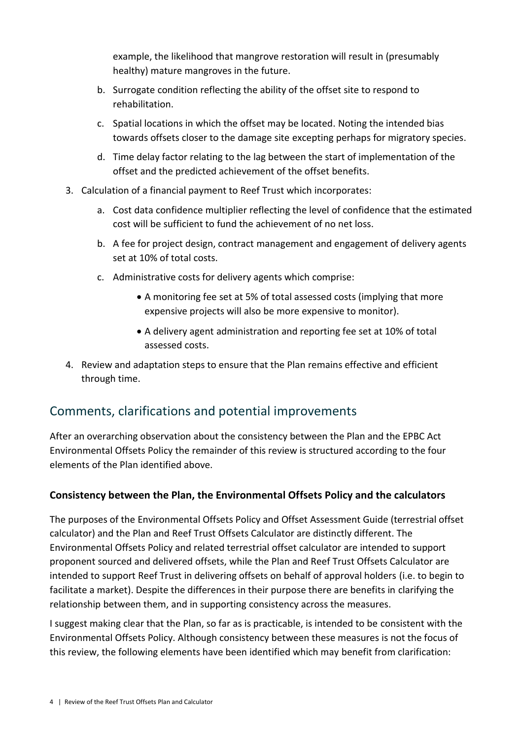example, the likelihood that mangrove restoration will result in (presumably healthy) mature mangroves in the future.

- b. Surrogate condition reflecting the ability of the offset site to respond to rehabilitation.
- c. Spatial locations in which the offset may be located. Noting the intended bias towards offsets closer to the damage site excepting perhaps for migratory species.
- d. Time delay factor relating to the lag between the start of implementation of the offset and the predicted achievement of the offset benefits.
- 3. Calculation of a financial payment to Reef Trust which incorporates:
	- a. Cost data confidence multiplier reflecting the level of confidence that the estimated cost will be sufficient to fund the achievement of no net loss.
	- b. A fee for project design, contract management and engagement of delivery agents set at 10% of total costs.
	- c. Administrative costs for delivery agents which comprise:
		- A monitoring fee set at 5% of total assessed costs (implying that more expensive projects will also be more expensive to monitor).
		- A delivery agent administration and reporting fee set at 10% of total assessed costs.
- 4. Review and adaptation steps to ensure that the Plan remains effective and efficient through time.

# Comments, clarifications and potential improvements

After an overarching observation about the consistency between the Plan and the EPBC Act Environmental Offsets Policy the remainder of this review is structured according to the four elements of the Plan identified above.

## **Consistency between the Plan, the Environmental Offsets Policy and the calculators**

The purposes of the Environmental Offsets Policy and Offset Assessment Guide (terrestrial offset calculator) and the Plan and Reef Trust Offsets Calculator are distinctly different. The Environmental Offsets Policy and related terrestrial offset calculator are intended to support proponent sourced and delivered offsets, while the Plan and Reef Trust Offsets Calculator are intended to support Reef Trust in delivering offsets on behalf of approval holders (i.e. to begin to facilitate a market). Despite the differences in their purpose there are benefits in clarifying the relationship between them, and in supporting consistency across the measures.

I suggest making clear that the Plan, so far as is practicable, is intended to be consistent with the Environmental Offsets Policy. Although consistency between these measures is not the focus of this review, the following elements have been identified which may benefit from clarification: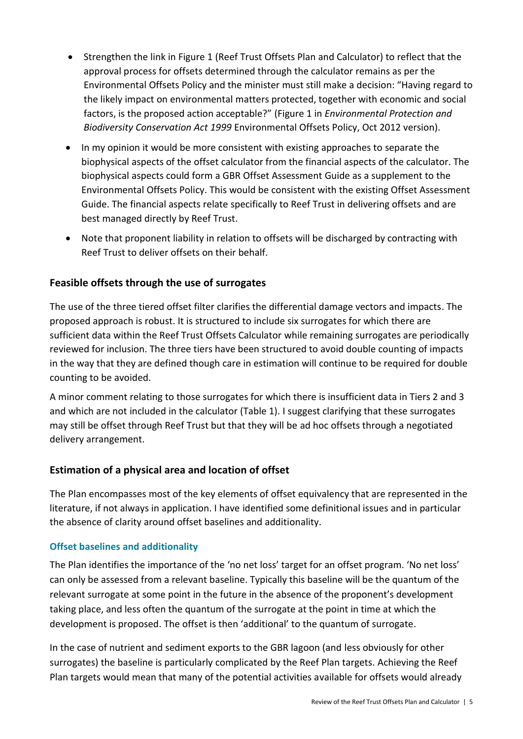- Strengthen the link in Figure 1 (Reef Trust Offsets Plan and Calculator) to reflect that the approval process for offsets determined through the calculator remains as per the Environmental Offsets Policy and the minister must still make a decision: "Having regard to the likely impact on environmental matters protected, together with economic and social factors, is the proposed action acceptable?" (Figure 1 in *Environmental Protection and Biodiversity Conservation Act 1999* Environmental Offsets Policy, Oct 2012 version).
- In my opinion it would be more consistent with existing approaches to separate the biophysical aspects of the offset calculator from the financial aspects of the calculator. The biophysical aspects could form a GBR Offset Assessment Guide as a supplement to the Environmental Offsets Policy. This would be consistent with the existing Offset Assessment Guide. The financial aspects relate specifically to Reef Trust in delivering offsets and are best managed directly by Reef Trust.
- Note that proponent liability in relation to offsets will be discharged by contracting with Reef Trust to deliver offsets on their behalf.

## **Feasible offsets through the use of surrogates**

The use of the three tiered offset filter clarifies the differential damage vectors and impacts. The proposed approach is robust. It is structured to include six surrogates for which there are sufficient data within the Reef Trust Offsets Calculator while remaining surrogates are periodically reviewed for inclusion. The three tiers have been structured to avoid double counting of impacts in the way that they are defined though care in estimation will continue to be required for double counting to be avoided.

A minor comment relating to those surrogates for which there is insufficient data in Tiers 2 and 3 and which are not included in the calculator (Table 1). I suggest clarifying that these surrogates may still be offset through Reef Trust but that they will be ad hoc offsets through a negotiated delivery arrangement.

#### **Estimation of a physical area and location of offset**

The Plan encompasses most of the key elements of offset equivalency that are represented in the literature, if not always in application. I have identified some definitional issues and in particular the absence of clarity around offset baselines and additionality.

#### **Offset baselines and additionality**

The Plan identifies the importance of the 'no net loss' target for an offset program. 'No net loss' can only be assessed from a relevant baseline. Typically this baseline will be the quantum of the relevant surrogate at some point in the future in the absence of the proponent's development taking place, and less often the quantum of the surrogate at the point in time at which the development is proposed. The offset is then 'additional' to the quantum of surrogate.

In the case of nutrient and sediment exports to the GBR lagoon (and less obviously for other surrogates) the baseline is particularly complicated by the Reef Plan targets. Achieving the Reef Plan targets would mean that many of the potential activities available for offsets would already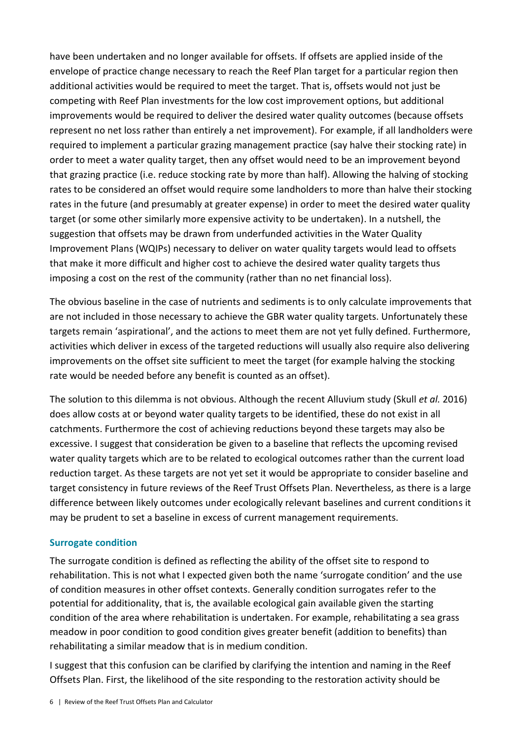have been undertaken and no longer available for offsets. If offsets are applied inside of the envelope of practice change necessary to reach the Reef Plan target for a particular region then additional activities would be required to meet the target. That is, offsets would not just be competing with Reef Plan investments for the low cost improvement options, but additional improvements would be required to deliver the desired water quality outcomes (because offsets represent no net loss rather than entirely a net improvement). For example, if all landholders were required to implement a particular grazing management practice (say halve their stocking rate) in order to meet a water quality target, then any offset would need to be an improvement beyond that grazing practice (i.e. reduce stocking rate by more than half). Allowing the halving of stocking rates to be considered an offset would require some landholders to more than halve their stocking rates in the future (and presumably at greater expense) in order to meet the desired water quality target (or some other similarly more expensive activity to be undertaken). In a nutshell, the suggestion that offsets may be drawn from underfunded activities in the Water Quality Improvement Plans (WQIPs) necessary to deliver on water quality targets would lead to offsets that make it more difficult and higher cost to achieve the desired water quality targets thus imposing a cost on the rest of the community (rather than no net financial loss).

The obvious baseline in the case of nutrients and sediments is to only calculate improvements that are not included in those necessary to achieve the GBR water quality targets. Unfortunately these targets remain 'aspirational', and the actions to meet them are not yet fully defined. Furthermore, activities which deliver in excess of the targeted reductions will usually also require also delivering improvements on the offset site sufficient to meet the target (for example halving the stocking rate would be needed before any benefit is counted as an offset).

The solution to this dilemma is not obvious. Although the recent Alluvium study (Skull *et al.* 2016) does allow costs at or beyond water quality targets to be identified, these do not exist in all catchments. Furthermore the cost of achieving reductions beyond these targets may also be excessive. I suggest that consideration be given to a baseline that reflects the upcoming revised water quality targets which are to be related to ecological outcomes rather than the current load reduction target. As these targets are not yet set it would be appropriate to consider baseline and target consistency in future reviews of the Reef Trust Offsets Plan. Nevertheless, as there is a large difference between likely outcomes under ecologically relevant baselines and current conditions it may be prudent to set a baseline in excess of current management requirements.

#### **Surrogate condition**

The surrogate condition is defined as reflecting the ability of the offset site to respond to rehabilitation. This is not what I expected given both the name 'surrogate condition' and the use of condition measures in other offset contexts. Generally condition surrogates refer to the potential for additionality, that is, the available ecological gain available given the starting condition of the area where rehabilitation is undertaken. For example, rehabilitating a sea grass meadow in poor condition to good condition gives greater benefit (addition to benefits) than rehabilitating a similar meadow that is in medium condition.

I suggest that this confusion can be clarified by clarifying the intention and naming in the Reef Offsets Plan. First, the likelihood of the site responding to the restoration activity should be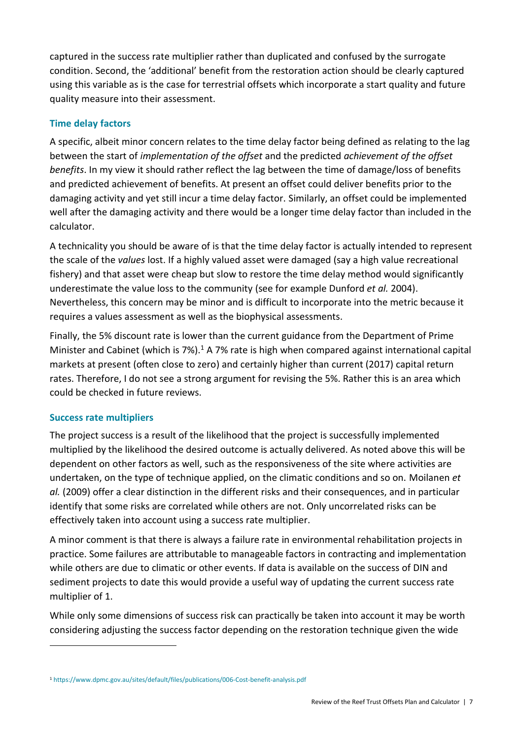captured in the success rate multiplier rather than duplicated and confused by the surrogate condition. Second, the 'additional' benefit from the restoration action should be clearly captured using this variable as is the case for terrestrial offsets which incorporate a start quality and future quality measure into their assessment.

#### **Time delay factors**

A specific, albeit minor concern relates to the time delay factor being defined as relating to the lag between the start of *implementation of the offset* and the predicted *achievement of the offset benefits*. In my view it should rather reflect the lag between the time of damage/loss of benefits and predicted achievement of benefits. At present an offset could deliver benefits prior to the damaging activity and yet still incur a time delay factor. Similarly, an offset could be implemented well after the damaging activity and there would be a longer time delay factor than included in the calculator.

A technicality you should be aware of is that the time delay factor is actually intended to represent the scale of the *values* lost. If a highly valued asset were damaged (say a high value recreational fishery) and that asset were cheap but slow to restore the time delay method would significantly underestimate the value loss to the community (see for example Dunford *et al.* 2004). Nevertheless, this concern may be minor and is difficult to incorporate into the metric because it requires a values assessment as well as the biophysical assessments.

Finally, the 5% discount rate is lower than the current guidance from the Department of Prime Minister and Cabinet (which is 7%).<sup>1</sup> A 7% rate is high when compared against international capital markets at present (often close to zero) and certainly higher than current (2017) capital return rates. Therefore, I do not see a strong argument for revising the 5%. Rather this is an area which could be checked in future reviews.

#### **Success rate multipliers**

1

The project success is a result of the likelihood that the project is successfully implemented multiplied by the likelihood the desired outcome is actually delivered. As noted above this will be dependent on other factors as well, such as the responsiveness of the site where activities are undertaken, on the type of technique applied, on the climatic conditions and so on. Moilanen *et al.* (2009) offer a clear distinction in the different risks and their consequences, and in particular identify that some risks are correlated while others are not. Only uncorrelated risks can be effectively taken into account using a success rate multiplier.

A minor comment is that there is always a failure rate in environmental rehabilitation projects in practice. Some failures are attributable to manageable factors in contracting and implementation while others are due to climatic or other events. If data is available on the success of DIN and sediment projects to date this would provide a useful way of updating the current success rate multiplier of 1.

While only some dimensions of success risk can practically be taken into account it may be worth considering adjusting the success factor depending on the restoration technique given the wide

<sup>1</sup> <https://www.dpmc.gov.au/sites/default/files/publications/006-Cost-benefit-analysis.pdf>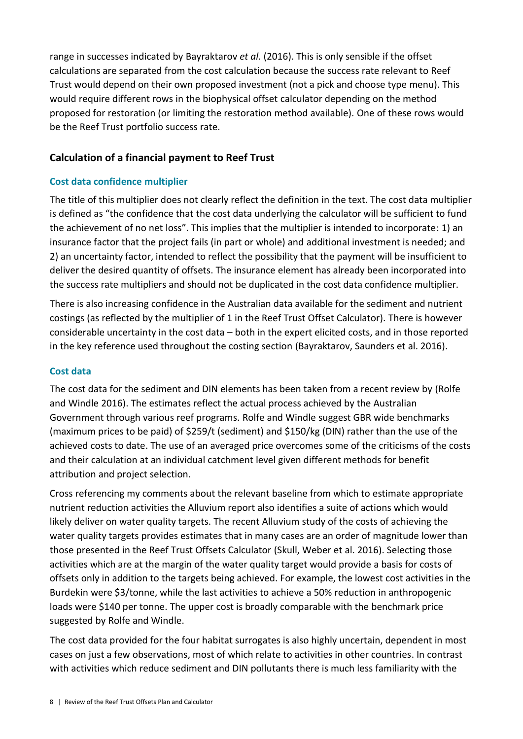range in successes indicated by Bayraktarov *et al.* (2016). This is only sensible if the offset calculations are separated from the cost calculation because the success rate relevant to Reef Trust would depend on their own proposed investment (not a pick and choose type menu). This would require different rows in the biophysical offset calculator depending on the method proposed for restoration (or limiting the restoration method available). One of these rows would be the Reef Trust portfolio success rate.

## **Calculation of a financial payment to Reef Trust**

#### **Cost data confidence multiplier**

The title of this multiplier does not clearly reflect the definition in the text. The cost data multiplier is defined as "the confidence that the cost data underlying the calculator will be sufficient to fund the achievement of no net loss". This implies that the multiplier is intended to incorporate: 1) an insurance factor that the project fails (in part or whole) and additional investment is needed; and 2) an uncertainty factor, intended to reflect the possibility that the payment will be insufficient to deliver the desired quantity of offsets. The insurance element has already been incorporated into the success rate multipliers and should not be duplicated in the cost data confidence multiplier.

There is also increasing confidence in the Australian data available for the sediment and nutrient costings (as reflected by the multiplier of 1 in the Reef Trust Offset Calculator). There is however considerable uncertainty in the cost data – both in the expert elicited costs, and in those reported in the key reference used throughout the costing section (Bayraktarov, Saunders et al. 2016).

#### **Cost data**

The cost data for the sediment and DIN elements has been taken from a recent review by (Rolfe and Windle 2016). The estimates reflect the actual process achieved by the Australian Government through various reef programs. Rolfe and Windle suggest GBR wide benchmarks (maximum prices to be paid) of \$259/t (sediment) and \$150/kg (DIN) rather than the use of the achieved costs to date. The use of an averaged price overcomes some of the criticisms of the costs and their calculation at an individual catchment level given different methods for benefit attribution and project selection.

Cross referencing my comments about the relevant baseline from which to estimate appropriate nutrient reduction activities the Alluvium report also identifies a suite of actions which would likely deliver on water quality targets. The recent Alluvium study of the costs of achieving the water quality targets provides estimates that in many cases are an order of magnitude lower than those presented in the Reef Trust Offsets Calculator (Skull, Weber et al. 2016). Selecting those activities which are at the margin of the water quality target would provide a basis for costs of offsets only in addition to the targets being achieved. For example, the lowest cost activities in the Burdekin were \$3/tonne, while the last activities to achieve a 50% reduction in anthropogenic loads were \$140 per tonne. The upper cost is broadly comparable with the benchmark price suggested by Rolfe and Windle.

The cost data provided for the four habitat surrogates is also highly uncertain, dependent in most cases on just a few observations, most of which relate to activities in other countries. In contrast with activities which reduce sediment and DIN pollutants there is much less familiarity with the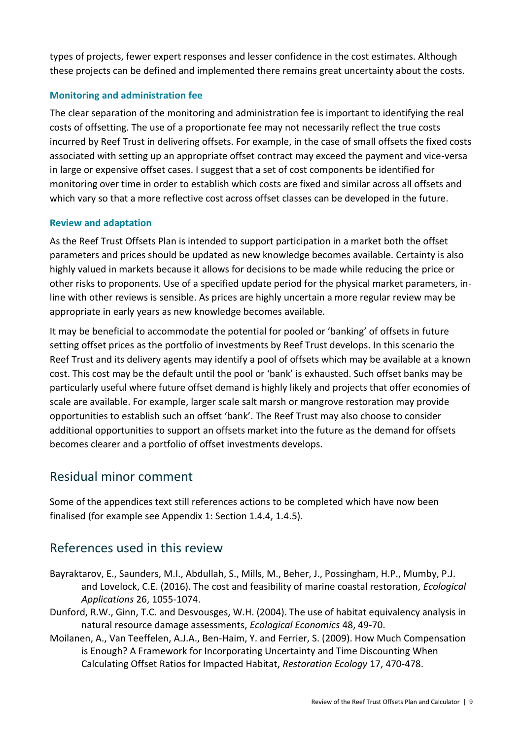types of projects, fewer expert responses and lesser confidence in the cost estimates. Although these projects can be defined and implemented there remains great uncertainty about the costs.

### **Monitoring and administration fee**

The clear separation of the monitoring and administration fee is important to identifying the real costs of offsetting. The use of a proportionate fee may not necessarily reflect the true costs incurred by Reef Trust in delivering offsets. For example, in the case of small offsets the fixed costs associated with setting up an appropriate offset contract may exceed the payment and vice-versa in large or expensive offset cases. I suggest that a set of cost components be identified for monitoring over time in order to establish which costs are fixed and similar across all offsets and which vary so that a more reflective cost across offset classes can be developed in the future.

#### **Review and adaptation**

As the Reef Trust Offsets Plan is intended to support participation in a market both the offset parameters and prices should be updated as new knowledge becomes available. Certainty is also highly valued in markets because it allows for decisions to be made while reducing the price or other risks to proponents. Use of a specified update period for the physical market parameters, inline with other reviews is sensible. As prices are highly uncertain a more regular review may be appropriate in early years as new knowledge becomes available.

It may be beneficial to accommodate the potential for pooled or 'banking' of offsets in future setting offset prices as the portfolio of investments by Reef Trust develops. In this scenario the Reef Trust and its delivery agents may identify a pool of offsets which may be available at a known cost. This cost may be the default until the pool or 'bank' is exhausted. Such offset banks may be particularly useful where future offset demand is highly likely and projects that offer economies of scale are available. For example, larger scale salt marsh or mangrove restoration may provide opportunities to establish such an offset 'bank'. The Reef Trust may also choose to consider additional opportunities to support an offsets market into the future as the demand for offsets becomes clearer and a portfolio of offset investments develops.

## Residual minor comment

Some of the appendices text still references actions to be completed which have now been finalised (for example see Appendix 1: Section 1.4.4, 1.4.5).

# References used in this review

- Bayraktarov, E., Saunders, M.I., Abdullah, S., Mills, M., Beher, J., Possingham, H.P., Mumby, P.J. and Lovelock, C.E. (2016). The cost and feasibility of marine coastal restoration, *Ecological Applications* 26, 1055-1074.
- Dunford, R.W., Ginn, T.C. and Desvousges, W.H. (2004). The use of habitat equivalency analysis in natural resource damage assessments, *Ecological Economics* 48, 49-70.
- Moilanen, A., Van Teeffelen, A.J.A., Ben-Haim, Y. and Ferrier, S. (2009). How Much Compensation is Enough? A Framework for Incorporating Uncertainty and Time Discounting When Calculating Offset Ratios for Impacted Habitat, *Restoration Ecology* 17, 470-478.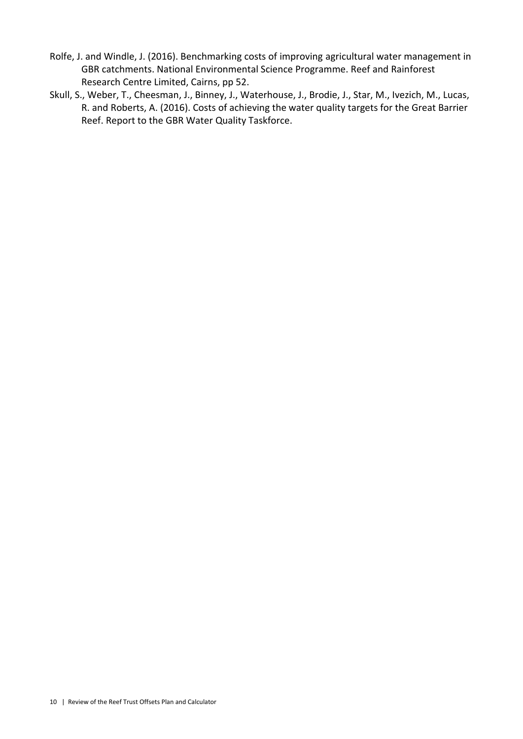- Rolfe, J. and Windle, J. (2016). Benchmarking costs of improving agricultural water management in GBR catchments. National Environmental Science Programme. Reef and Rainforest Research Centre Limited, Cairns, pp 52.
- Skull, S., Weber, T., Cheesman, J., Binney, J., Waterhouse, J., Brodie, J., Star, M., Ivezich, M., Lucas, R. and Roberts, A. (2016). Costs of achieving the water quality targets for the Great Barrier Reef. Report to the GBR Water Quality Taskforce.